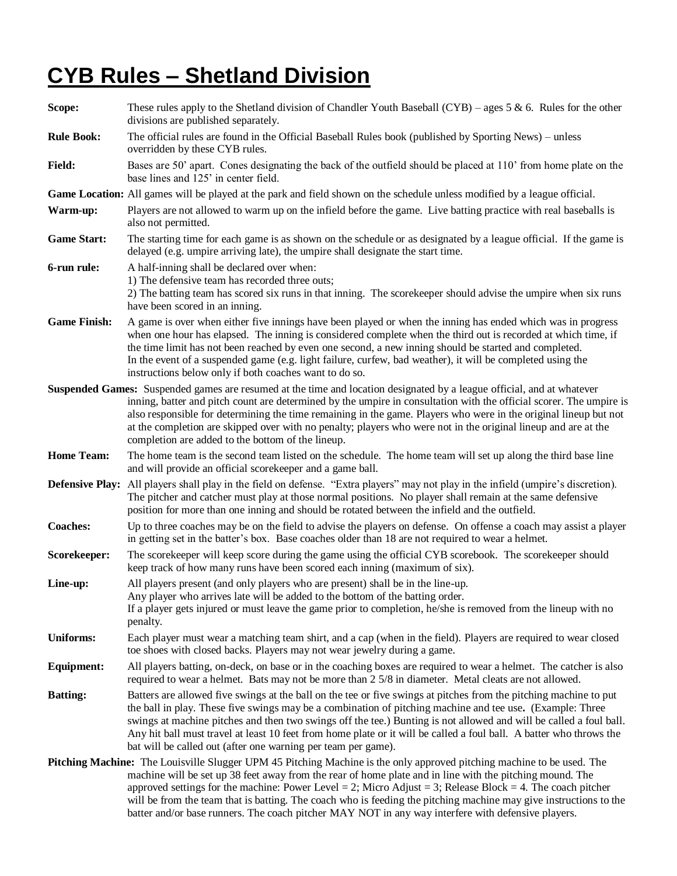## **CYB Rules – Shetland Division**

**Scope:** These rules apply to the Shetland division of Chandler Youth Baseball (CYB) – ages 5 & 6. Rules for the other divisions are published separately. **Rule Book:** The official rules are found in the Official Baseball Rules book (published by Sporting News) – unless overridden by these CYB rules. Field: Bases are 50' apart. Cones designating the back of the outfield should be placed at 110' from home plate on the base lines and 125' in center field. **Game Location:** All games will be played at the park and field shown on the schedule unless modified by a league official. **Warm-up:** Players are not allowed to warm up on the infield before the game. Live batting practice with real baseballs is also not permitted. **Game Start:** The starting time for each game is as shown on the schedule or as designated by a league official. If the game is delayed (e.g. umpire arriving late), the umpire shall designate the start time. **6-run rule:** A half-inning shall be declared over when: 1) The defensive team has recorded three outs; 2) The batting team has scored six runs in that inning. The scorekeeper should advise the umpire when six runs have been scored in an inning. **Game Finish:** A game is over when either five innings have been played or when the inning has ended which was in progress when one hour has elapsed. The inning is considered complete when the third out is recorded at which time, if the time limit has not been reached by even one second, a new inning should be started and completed. In the event of a suspended game (e.g. light failure, curfew, bad weather), it will be completed using the instructions below only if both coaches want to do so. **Suspended Games:** Suspended games are resumed at the time and location designated by a league official, and at whatever inning, batter and pitch count are determined by the umpire in consultation with the official scorer. The umpire is also responsible for determining the time remaining in the game. Players who were in the original lineup but not at the completion are skipped over with no penalty; players who were not in the original lineup and are at the completion are added to the bottom of the lineup. **Home Team:** The home team is the second team listed on the schedule. The home team will set up along the third base line and will provide an official scorekeeper and a game ball. **Defensive Play:** All players shall play in the field on defense. "Extra players" may not play in the infield (umpire's discretion). The pitcher and catcher must play at those normal positions. No player shall remain at the same defensive position for more than one inning and should be rotated between the infield and the outfield. **Coaches:** Up to three coaches may be on the field to advise the players on defense. On offense a coach may assist a player in getting set in the batter's box. Base coaches older than 18 are not required to wear a helmet. **Scorekeeper:** The scorekeeper will keep score during the game using the official CYB scorebook. The scorekeeper should keep track of how many runs have been scored each inning (maximum of six). **Line-up:** All players present (and only players who are present) shall be in the line-up. Any player who arrives late will be added to the bottom of the batting order. If a player gets injured or must leave the game prior to completion, he/she is removed from the lineup with no penalty. **Uniforms:** Each player must wear a matching team shirt, and a cap (when in the field). Players are required to wear closed toe shoes with closed backs. Players may not wear jewelry during a game. **Equipment:** All players batting, on-deck, on base or in the coaching boxes are required to wear a helmet. The catcher is also required to wear a helmet. Bats may not be more than 2 5/8 in diameter. Metal cleats are not allowed. **Batting:** Batters are allowed five swings at the ball on the tee or five swings at pitches from the pitching machine to put the ball in play. These five swings may be a combination of pitching machine and tee use**.** (Example: Three swings at machine pitches and then two swings off the tee.) Bunting is not allowed and will be called a foul ball. Any hit ball must travel at least 10 feet from home plate or it will be called a foul ball. A batter who throws the bat will be called out (after one warning per team per game). **Pitching Machine:** The Louisville Slugger UPM 45 Pitching Machine is the only approved pitching machine to be used. The machine will be set up 38 feet away from the rear of home plate and in line with the pitching mound. The approved settings for the machine: Power Level = 2; Micro Adjust = 3; Release Block = 4. The coach pitcher will be from the team that is batting. The coach who is feeding the pitching machine may give instructions to the

batter and/or base runners. The coach pitcher MAY NOT in any way interfere with defensive players.